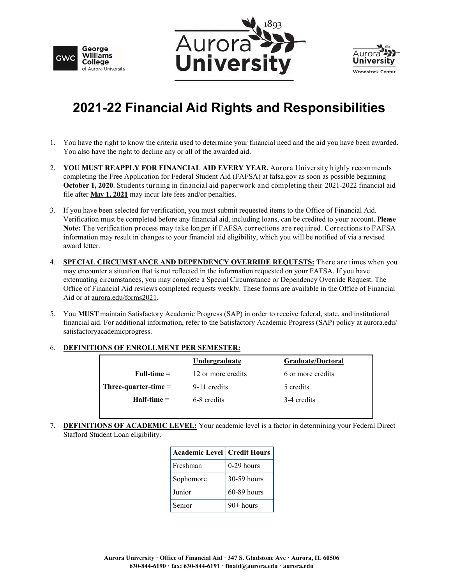





## **2021-22 Financial Aid Rights and Responsibilities**

- 1. You have the right to know the criteria used to determine your financial need and the aid you have been awarded. You also have the right to decline any or all of the awarded aid.
- 2. **YOU MUST REAPPLY FOR FINANCIAL AID EVERY YEAR.** Aurora University highly recommends completing the Free Application for Federal Student Aid (FAFSA) at fafsa.gov as soon as possible beginning **October 1, 2020**. Students turning in financial aid paperwork and completing their 2021-2022 financial aid file after **May 1, 2021** may incur late fees and/or penalties.
- 3. If you have been selected for verification, you must submit requested items to the Office of Financial Aid. Verification must be completed before any financial aid, including loans, can be credited to your account. **Please Note:** The verification process may take longer if FAFSA corrections are required. Corrections to FAFSA information may result in changes to your financial aid eligibility, which you will be notified of via a revised award letter.
- 4. **SPECIAL CIRCUMSTANCE AND DEPENDENCY OVERRIDE REQUESTS:** There are times when you may encounter a situation that is not reflected in the information requested on your FAFSA. If you have extenuating circumstances, you may complete a Special Circumstance or Dependency Override Request. The Office of Financial Aid reviews completed requests weekly. These forms are available in the Office of Financial Aid or at aurora.edu/forms2021.
- 5. You **MUST** maintain Satisfactory Academic Progress (SAP) in order to receive federal, state, and institutional financial aid. For additional information, refer to the Satisfactory Academic Progress (SAP) policy at aurora.edu/ satisfactoryacademicprogress.

## 6. **DEFINITIONS OF ENROLLMENT PER SEMESTER:**

|                        | Undergraduate      | Graduate/Doctoral |
|------------------------|--------------------|-------------------|
| $Full-time =$          | 12 or more credits | 6 or more credits |
| Three-quarter-time $=$ | 9-11 credits       | 5 credits         |
| $H$ alf-time $=$       | 6-8 credits        | 3-4 credits       |
|                        |                    |                   |

7. **DEFINITIONS OF ACADEMIC LEVEL:** Your academic level is a factor in determining your Federal Direct Stafford Student Loan eligibility.

| <b>Academic Level   Credit Hours</b> |              |  |
|--------------------------------------|--------------|--|
| Freshman                             | $0-29$ hours |  |
| Sophomore                            | 30-59 hours  |  |
| Junior                               | 60-89 hours  |  |
| Senior                               | $90+$ hours  |  |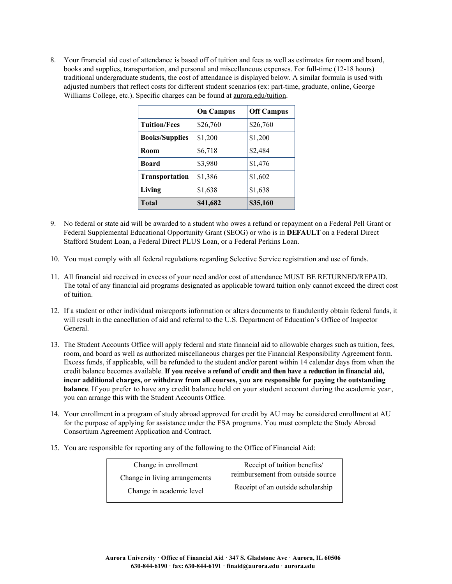8. Your financial aid cost of attendance is based off of tuition and fees as well as estimates for room and board, books and supplies, transportation, and personal and miscellaneous expenses. For full-time (12-18 hours) traditional undergraduate students, the cost of attendance is displayed below. A similar formula is used with adjusted numbers that reflect costs for different student scenarios (ex: part-time, graduate, online, George Williams College, etc.). Specific charges can be found at aurora.edu/tuition.

|                       | <b>On Campus</b> | <b>Off Campus</b> |
|-----------------------|------------------|-------------------|
| <b>Tuition/Fees</b>   | \$26,760         | \$26,760          |
| <b>Books/Supplies</b> | \$1,200          | \$1,200           |
| Room                  | \$6,718          | \$2,484           |
| <b>Board</b>          | \$3,980          | \$1,476           |
| <b>Transportation</b> | \$1,386          | \$1,602           |
| Living                | \$1,638          | \$1,638           |
| <b>Total</b>          | \$41,682         | \$35,160          |

- 9. No federal or state aid will be awarded to a student who owes a refund or repayment on a Federal Pell Grant or Federal Supplemental Educational Opportunity Grant (SEOG) or who is in **DEFAULT** on a Federal Direct Stafford Student Loan, a Federal Direct PLUS Loan, or a Federal Perkins Loan.
- 10. You must comply with all federal regulations regarding Selective Service registration and use of funds.
- 11. All financial aid received in excess of your need and/or cost of attendance MUST BE RETURNED/REPAID. The total of any financial aid programs designated as applicable toward tuition only cannot exceed the direct cost of tuition.
- 12. If a student or other individual misreports information or alters documents to fraudulently obtain federal funds, it will result in the cancellation of aid and referral to the U.S. Department of Education's Office of Inspector General.
- 13. The Student Accounts Office will apply federal and state financial aid to allowable charges such as tuition, fees, room, and board as well as authorized miscellaneous charges per the Financial Responsibility Agreement form. Excess funds, if applicable, will be refunded to the student and/or parent within 14 calendar days from when the credit balance becomes available. **If you receive a refund of credit and then have a reduction in financial aid, incur additional charges, or withdraw from all courses, you are responsible for paying the outstanding balance**. If you prefer to have any credit balance held on your student account during the academic year, you can arrange this with the Student Accounts Office.
- 14. Your enrollment in a program of study abroad approved for credit by AU may be considered enrollment at AU for the purpose of applying for assistance under the FSA programs. You must complete the Study Abroad Consortium Agreement Application and Contract.
- 15. You are responsible for reporting any of the following to the Office of Financial Aid:

| Change in enrollment          | Receipt of tuition benefits/      |
|-------------------------------|-----------------------------------|
| Change in living arrangements | reimbursement from outside source |
| Change in academic level      | Receipt of an outside scholarship |